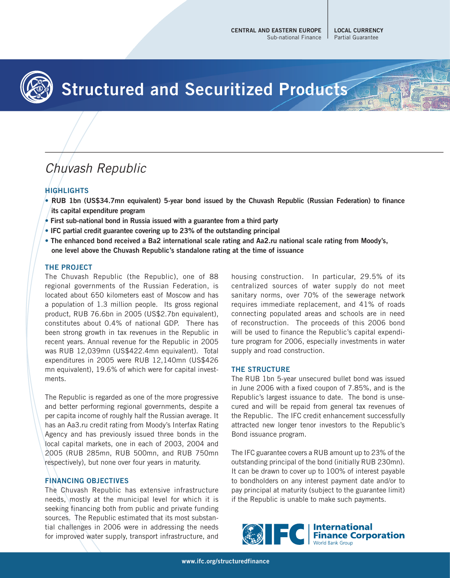

# **Structured and Securitized Products**

# Chuvash Republic

## **HIGHLIGHTS**

- **RUB 1bn (US\$34.7mn equivalent) 5-year bond issued by the Chuvash Republic (Russian Federation) to finance its capital expenditure program**
- **First sub-national bond in Russia issued with a guarantee from a third party**
- **IFC partial credit guarantee covering up to 23% of the outstanding principal**
- **The enhanced bond received a Ba2 international scale rating and Aa2.ru national scale rating from Moody's, one level above the Chuvash Republic's standalone rating at the time of issuance**

#### **THE PROJECT**

The Chuvash Republic (the Republic), one of 88 regional governments of the Russian Federation, is located about 650 kilometers east of Moscow and has a population of 1.3 million people. Its gross regional product, RUB 76.6bn in 2005 (US\$2.7bn equivalent), constitutes about 0.4% of national GDP. There has been strong growth in tax revenues in the Republic in recent years. Annual revenue for the Republic in 2005 was RUB 12,039mn (US\$422.4mn equivalent). Total expenditures in 2005 were RUB 12,140mn (US\$426 mn equivalent), 19.6% of which were for capital investments.

The Republic is regarded as one of the more progressive and better performing regional governments, despite a per capita income of roughly half the Russian average. It has an Aa3.ru credit rating from Moody's Interfax Rating Agency and has previously issued three bonds in the local capital markets, one in each of 2003, 2004 and 2005 (RUB 285mn, RUB 500mn, and RUB 750mn respectively), but none over four years in maturity.

#### **FINANCING OBJECTIVES**

The Chuvash Republic has extensive infrastructure needs, mostly at the municipal level for which it is seeking financing both from public and private funding sources. The Republic estimated that its most substantial challenges in 2006 were in addressing the needs for improved water supply, transport infrastructure, and

housing construction. In particular, 29.5% of its centralized sources of water supply do not meet sanitary norms, over 70% of the sewerage network requires immediate replacement, and 41% of roads connecting populated areas and schools are in need of reconstruction. The proceeds of this 2006 bond will be used to finance the Republic's capital expenditure program for 2006, especially investments in water supply and road construction.

#### **THE STRUCTURE**

The RUB 1bn 5-year unsecured bullet bond was issued in June 2006 with a fixed coupon of 7.85%, and is the Republic's largest issuance to date. The bond is unsecured and will be repaid from general tax revenues of the Republic. The IFC credit enhancement successfully attracted new longer tenor investors to the Republic's Bond issuance program.

The IFC guarantee covers a RUB amount up to 23% of the outstanding principal of the bond (initially RUB 230mn). It can be drawn to cover up to 100% of interest payable to bondholders on any interest payment date and/or to pay principal at maturity (subject to the guarantee limit) if the Republic is unable to make such payments.